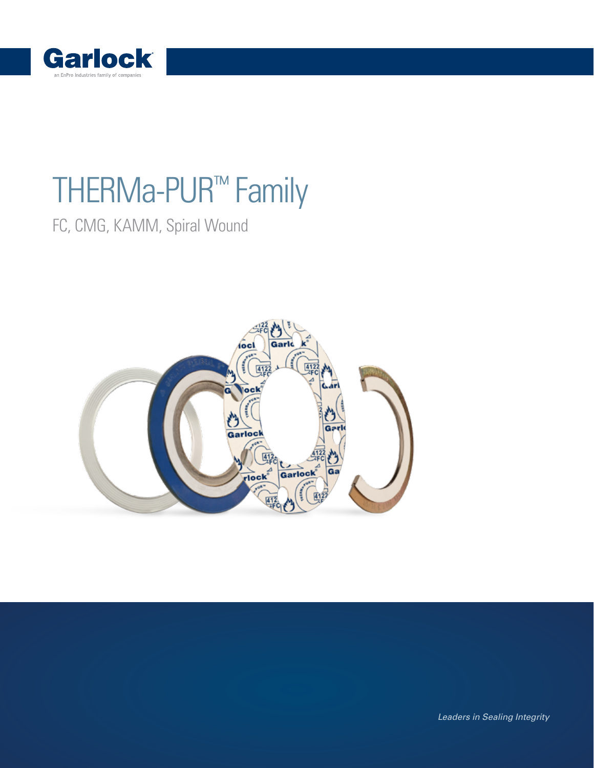

## THERMa-PUR™ Family

[FC,](https://www.garlock.com/en/products/4122-therma-pur-hi-temp-gaskets?utm_source=thurmapur-family&utm_medium=pdf&utm_content=product&utm_campaign=std) [CMG,](https://www.garlock.com/en/products/therphonic-4122-cmg-corrugated-metal-gasket?utm_source=thermapur-family&utm_medium=pdf&utm_content=cmg&utm_campaign=std) [KAMM,](https://www.garlock.com/en/products/kammprofile-therma-pur-facing-4122-kamm?utm_source=thermapur-family&utm_medium=pdf&utm_content=pic&utm_campaign=std) [Spiral Wound](https://www.garlock.com/en/products/therma-pur-style-4122-spiral-wound?utm_source=thermapur-family&utm_medium=pdf&utm_content=pic&utm_campaign=std)



Leaders in Sealing Integrity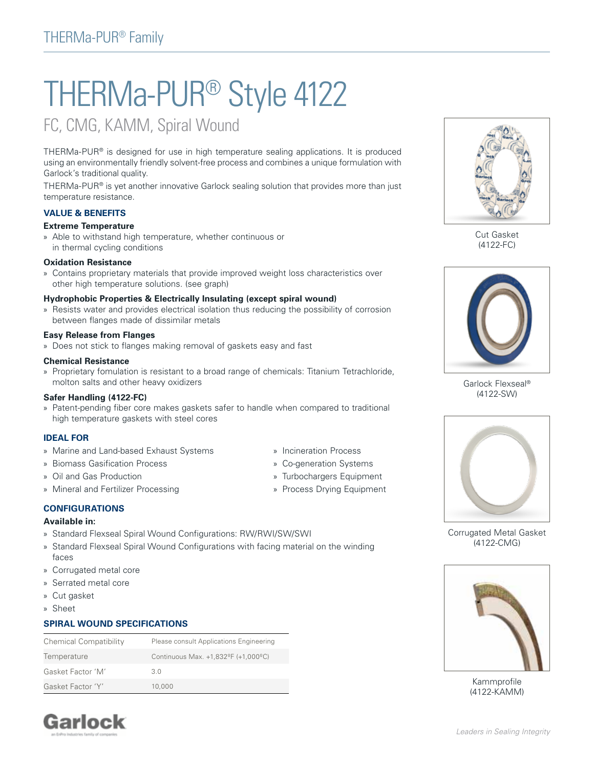# THERMa-PUR® Style 4122

### [FC,](https://www.garlock.com/en/products/4122-therma-pur-hi-temp-gaskets?utm_source=thurmapur-family&utm_medium=pdf&utm_content=pic&utm_campaign=std) [CMG](https://www.garlock.com/en/products/therphonic-4122-cmg-corrugated-metal-gasket?utm_source=thermapur-family&utm_medium=pdf&utm_content=cmg&utm_campaign=std), KAMM, Spiral Wound

THERMa-PUR® is designed for use in high temperature sealing applications. It is produced using an environmentally friendly solvent-free process and combines a unique formulation with Garlock's traditional quality.

THERMa-PUR® is yet another innovative Garlock sealing solution that provides more than just temperature resistance.

#### **VALUE & BENEFITS**

#### **Extreme Temperature**

» Able to withstand high temperature, whether continuous or in thermal cycling conditions

#### **Oxidation Resistance**

» Contains proprietary materials that provide improved weight loss characteristics over other high temperature solutions. (see graph)

#### **Hydrophobic Properties & Electrically Insulating (except spiral wound)**

» Resists water and provides electrical isolation thus reducing the possibility of corrosion between flanges made of dissimilar metals

#### **Easy Release from Flanges**

» Does not stick to flanges making removal of gaskets easy and fast

#### **Chemical Resistance**

» Proprietary fomulation is resistant to a broad range of chemicals: Titanium Tetrachloride, molton salts and other heavy oxidizers

#### **[Safer Handling \(4122-FC\)](https://www.garlock.com/en/products/4122-therma-pur-hi-temp-gaskets?utm_source=thurmapur-family&utm_medium=pdf&utm_content=product&utm_campaign=std)**

» Patent-pending fiber core makes gaskets safer to handle when compared to traditional high temperature gaskets with steel cores

#### **IDEAL FOR**

- » Marine and Land-based Exhaust Systems
- » Biomass Gasification Process
- » Oil and Gas Production
- » Mineral and Fertilizer Processing

#### **CONFIGURATIONS**

#### **Available in:**

- » Standard Flexseal Spiral Wound Configurations: RW/RWI/SW/SWI
- » [Standard Flexseal Spiral Wound Configurations with facing material on the winding](https://www.garlock.com/en/products/therma-pur-style-4122-spiral-wound?utm_source=thermapur-family&utm_medium=pdf&utm_content=pic&utm_campaign=std)  faces
- » Corrugated metal core
- » Serrated metal core
- » [Cut gasket](https://www.garlock.com/en/products/4122-therma-pur-hi-temp-gaskets?utm_source=thurmapur-family&utm_medium=pdf&utm_content=pic&utm_campaign=std)
- » Sheet

#### **SPIRAL WOUND SPECIFICATIONS**

| <b>Chemical Compatibility</b> | Please consult Applications Engineering |
|-------------------------------|-----------------------------------------|
| Temperature                   | Continuous Max. +1,832ºF (+1,000°C)     |
| Gasket Factor 'M'             | 3 O                                     |
| Gasket Factor 'Y'             | 10,000                                  |



Cut Gasket (4122-FC)



Garlock Flexseal® (4122-SW)



[Corrugated Metal Gasket](https://www.garlock.com/en/products/therphonic-4122-cmg-corrugated-metal-gasket?utm_source=thermapur-family&utm_medium=pdf&utm_content=pic&utm_campaign=std) (4122-CMG)



Kammprofile (4122-KAMM)

### **Garlock**

- » Incineration Process
- » Co-generation Systems
- » Turbochargers Equipment
- » Process Drying Equipment
- 
- 
-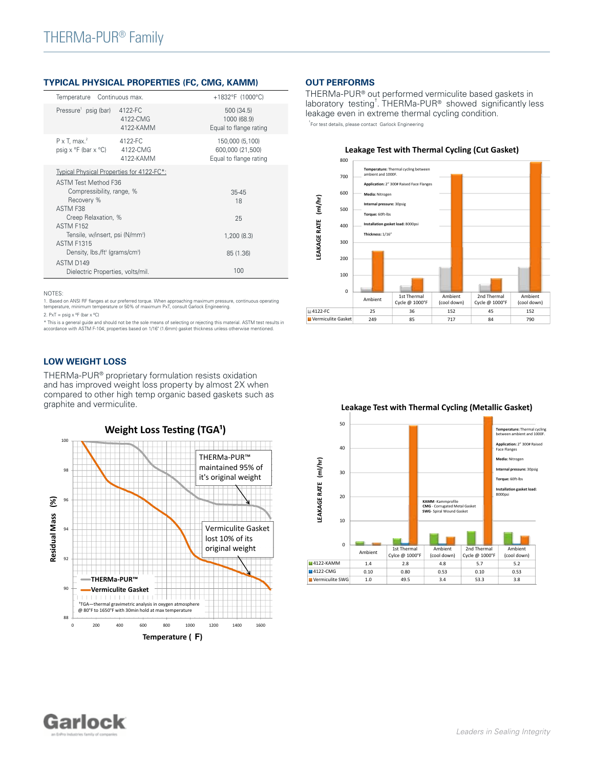#### **TYPICAL PHYSICAL PROPERTIES (FC, CMG, KAMM)**

| Temperature Continuous max.                                              |                                  | +1832°F (1000°C)                                              |
|--------------------------------------------------------------------------|----------------------------------|---------------------------------------------------------------|
| Pressure psig (bar)                                                      | 4122-FC<br>4122-CMG<br>4122-KAMM | 500 (34.5)<br>1000 (68.9)<br>Equal to flange rating           |
| $P \times T$ , max. <sup>2</sup><br>$psiq \times °F$ (bar $\times °C$ )  | 4122-FC<br>4122-CMG<br>4122-KAMM | 150,000 (5,100)<br>600,000 (21,500)<br>Equal to flange rating |
| Typical Physical Properties for 4122-FC*:<br><b>ASTM Test Method F36</b> |                                  |                                                               |
| Compressibility, range, %<br>Recovery %                                  |                                  | $35 - 45$<br>18                                               |
| ASTM F38<br>Creep Relaxation, %<br><b>ASTM F152</b>                      |                                  | 25                                                            |
| Tensile, w/insert, psi (N/mm <sup>2</sup> )<br><b>ASTM F1315</b>         |                                  | 1,200(8.3)                                                    |
| Density, lbs./ft <sup>3</sup> (grams/cm <sup>3</sup> )                   |                                  | 85 (1.36)                                                     |
| ASTM D149<br>Dielectric Properties, volts/mil.                           |                                  | 100                                                           |

NOTES:

1. Based on ANSI RF flanges at our preferred torque. When approaching maximum pressure, continuous operating<br>temperature, minimum temperature or 50% of maximum PxT, consult Garlock Engineering.

2.  $PxT = psig \times \frac{9F}{1}$  (bar  $x \frac{9C}{1}$ )

\* This is a general guide and should not be the sole means of selecting or rejecting this material. ASTM test results in<br>accordance with ASTM F-104; properties based on 1/16" (1.6mm) gasket thickness unless otherwise menti

#### **LOW WEIGHT LOSS**

THERMa-PUR® proprietary formulation resists oxidation and has improved weight loss property by almost 2X when compared to other high temp organic based gaskets such as graphite and vermiculite.



#### **OUT PERFORMS**

THERMa-PUR® out performed vermiculite based gaskets in laboratory testing<sup>†</sup>. THERMa-PUR® showed significantly less leakage even in extreme thermal cycling condition.







#### **Leakage Test with Thermal Cycling (Metallic Gasket)**